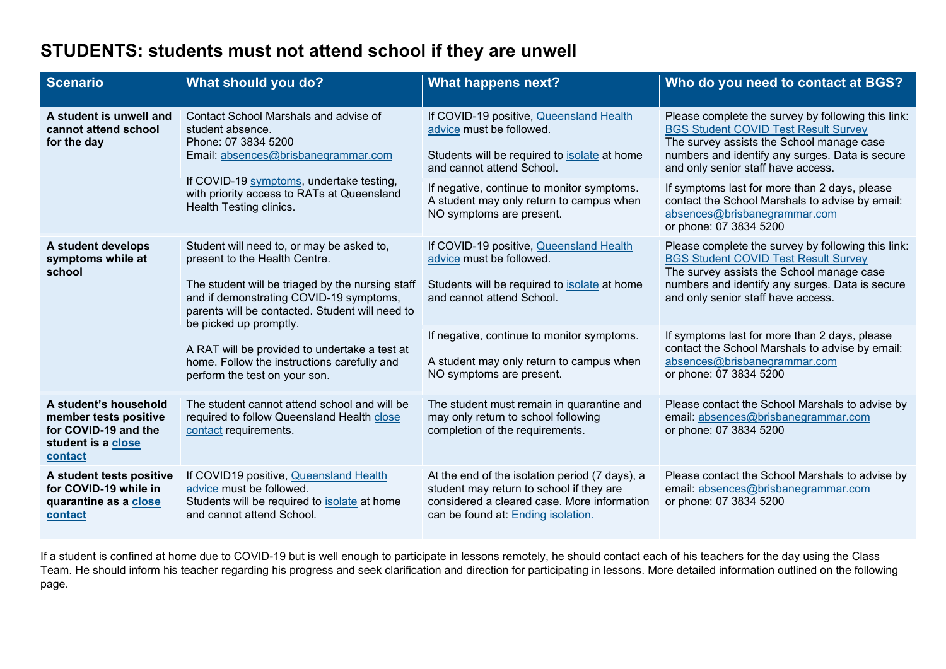# **STUDENTS: students must not attend school if they are unwell**

| <b>Scenario</b>                                                                                         | What should you do?                                                                                                                                                                                                                                                                                                                                                                     | <b>What happens next?</b>                                                                                                                                                       | Who do you need to contact at BGS?                                                                                                                                                                                                      |
|---------------------------------------------------------------------------------------------------------|-----------------------------------------------------------------------------------------------------------------------------------------------------------------------------------------------------------------------------------------------------------------------------------------------------------------------------------------------------------------------------------------|---------------------------------------------------------------------------------------------------------------------------------------------------------------------------------|-----------------------------------------------------------------------------------------------------------------------------------------------------------------------------------------------------------------------------------------|
| A student is unwell and<br>cannot attend school<br>for the day                                          | Contact School Marshals and advise of<br>student absence.<br>Phone: 07 3834 5200<br>Email: absences@brisbanegrammar.com<br>If COVID-19 symptoms, undertake testing,<br>with priority access to RATs at Queensland<br>Health Testing clinics.                                                                                                                                            | If COVID-19 positive, Queensland Health<br>advice must be followed.<br>Students will be required to isolate at home<br>and cannot attend School.                                | Please complete the survey by following this link:<br><b>BGS Student COVID Test Result Survey</b><br>The survey assists the School manage case<br>numbers and identify any surges. Data is secure<br>and only senior staff have access. |
|                                                                                                         |                                                                                                                                                                                                                                                                                                                                                                                         | If negative, continue to monitor symptoms.<br>A student may only return to campus when<br>NO symptoms are present.                                                              | If symptoms last for more than 2 days, please<br>contact the School Marshals to advise by email:<br>absences@brisbanegrammar.com<br>or phone: 07 3834 5200                                                                              |
| A student develops<br>symptoms while at<br>school                                                       | Student will need to, or may be asked to,<br>present to the Health Centre.<br>The student will be triaged by the nursing staff<br>and if demonstrating COVID-19 symptoms,<br>parents will be contacted. Student will need to<br>be picked up promptly.<br>A RAT will be provided to undertake a test at<br>home. Follow the instructions carefully and<br>perform the test on your son. | If COVID-19 positive, Queensland Health<br>advice must be followed.<br>Students will be required to <b>isolate</b> at home<br>and cannot attend School.                         | Please complete the survey by following this link:<br><b>BGS Student COVID Test Result Survey</b><br>The survey assists the School manage case<br>numbers and identify any surges. Data is secure<br>and only senior staff have access. |
|                                                                                                         |                                                                                                                                                                                                                                                                                                                                                                                         | If negative, continue to monitor symptoms.<br>A student may only return to campus when<br>NO symptoms are present.                                                              | If symptoms last for more than 2 days, please<br>contact the School Marshals to advise by email:<br>absences@brisbanegrammar.com<br>or phone: 07 3834 5200                                                                              |
| A student's household<br>member tests positive<br>for COVID-19 and the<br>student is a close<br>contact | The student cannot attend school and will be<br>required to follow Queensland Health close<br>contact requirements.                                                                                                                                                                                                                                                                     | The student must remain in quarantine and<br>may only return to school following<br>completion of the requirements.                                                             | Please contact the School Marshals to advise by<br>email: absences@brisbanegrammar.com<br>or phone: 07 3834 5200                                                                                                                        |
| A student tests positive<br>for COVID-19 while in<br>quarantine as a close<br>contact                   | If COVID19 positive, Queensland Health<br>advice must be followed.<br>Students will be required to isolate at home<br>and cannot attend School.                                                                                                                                                                                                                                         | At the end of the isolation period (7 days), a<br>student may return to school if they are<br>considered a cleared case. More information<br>can be found at: Ending isolation. | Please contact the School Marshals to advise by<br>email: absences@brisbanegrammar.com<br>or phone: 07 3834 5200                                                                                                                        |

If a student is confined at home due to COVID-19 but is well enough to participate in lessons remotely, he should contact each of his teachers for the day using the Class Team. He should inform his teacher regarding his progress and seek clarification and direction for participating in lessons. More detailed information outlined on the following page.